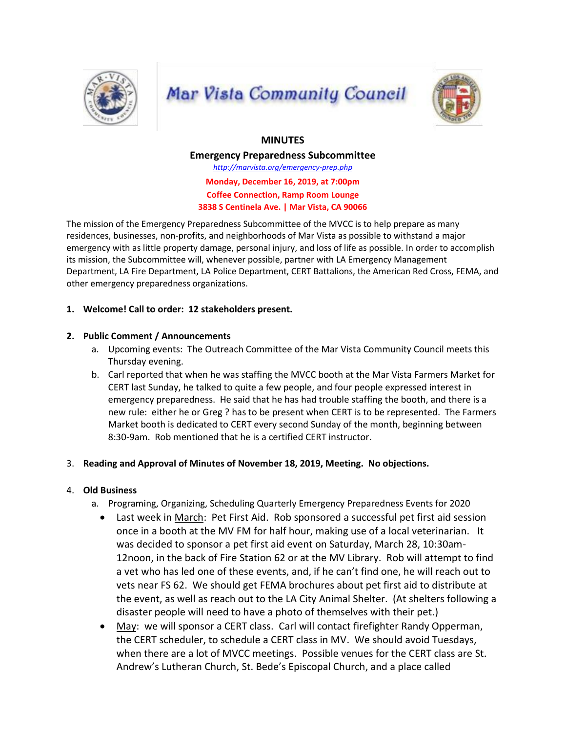

# **Mar Vista Community Council**



## **MINUTES**

**Emergency Preparedness Subcommittee** *http://marvista.org/emergency-prep.php* **Monday, December 16, 2019, at 7:00pm Coffee Connection, Ramp Room Lounge 3838 S Centinela Ave. | Mar Vista, CA 90066**

The mission of the Emergency Preparedness Subcommittee of the MVCC is to help prepare as many residences, businesses, non-profits, and neighborhoods of Mar Vista as possible to withstand a major emergency with as little property damage, personal injury, and loss of life as possible. In order to accomplish its mission, the Subcommittee will, whenever possible, partner with LA Emergency Management Department, LA Fire Department, LA Police Department, CERT Battalions, the American Red Cross, FEMA, and other emergency preparedness organizations.

## **1. Welcome! Call to order: 12 stakeholders present.**

## **2. Public Comment / Announcements**

- a. Upcoming events: The Outreach Committee of the Mar Vista Community Council meets this Thursday evening.
- b. Carl reported that when he was staffing the MVCC booth at the Mar Vista Farmers Market for CERT last Sunday, he talked to quite a few people, and four people expressed interest in emergency preparedness. He said that he has had trouble staffing the booth, and there is a new rule: either he or Greg ? has to be present when CERT is to be represented. The Farmers Market booth is dedicated to CERT every second Sunday of the month, beginning between 8:30-9am. Rob mentioned that he is a certified CERT instructor.

## 3. **Reading and Approval of Minutes of November 18, 2019, Meeting. No objections.**

## 4. **Old Business**

- a. Programing, Organizing, Scheduling Quarterly Emergency Preparedness Events for 2020
	- Last week in March: Pet First Aid. Rob sponsored a successful pet first aid session once in a booth at the MV FM for half hour, making use of a local veterinarian. It was decided to sponsor a pet first aid event on Saturday, March 28, 10:30am-12noon, in the back of Fire Station 62 or at the MV Library. Rob will attempt to find a vet who has led one of these events, and, if he can't find one, he will reach out to vets near FS 62. We should get FEMA brochures about pet first aid to distribute at the event, as well as reach out to the LA City Animal Shelter. (At shelters following a disaster people will need to have a photo of themselves with their pet.)
	- May: we will sponsor a CERT class. Carl will contact firefighter Randy Opperman, the CERT scheduler, to schedule a CERT class in MV. We should avoid Tuesdays, when there are a lot of MVCC meetings. Possible venues for the CERT class are St. Andrew's Lutheran Church, St. Bede's Episcopal Church, and a place called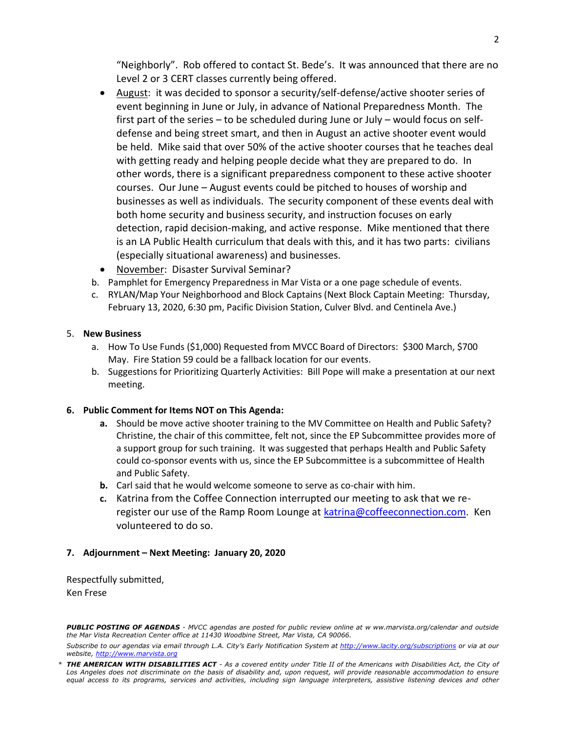"Neighborly". Rob offered to contact St. Bede's. It was announced that there are no Level 2 or 3 CERT classes currently being offered.

- August: it was decided to sponsor a security/self-defense/active shooter series of event beginning in June or July, in advance of National Preparedness Month. The first part of the series – to be scheduled during June or July – would focus on selfdefense and being street smart, and then in August an active shooter event would be held. Mike said that over 50% of the active shooter courses that he teaches deal with getting ready and helping people decide what they are prepared to do. In other words, there is a significant preparedness component to these active shooter courses. Our June – August events could be pitched to houses of worship and businesses as well as individuals. The security component of these events deal with both home security and business security, and instruction focuses on early detection, rapid decision-making, and active response. Mike mentioned that there is an LA Public Health curriculum that deals with this, and it has two parts: civilians (especially situational awareness) and businesses.
- November: Disaster Survival Seminar?
- b. Pamphlet for Emergency Preparedness in Mar Vista or a one page schedule of events.
- c. RYLAN/Map Your Neighborhood and Block Captains (Next Block Captain Meeting: Thursday, February 13, 2020, 6:30 pm, Pacific Division Station, Culver Blvd. and Centinela Ave.)

#### 5. **New Business**

- a. How To Use Funds (\$1,000) Requested from MVCC Board of Directors: \$300 March, \$700 May. Fire Station 59 could be a fallback location for our events.
- b. Suggestions for Prioritizing Quarterly Activities: Bill Pope will make a presentation at our next meeting.

#### **6. Public Comment for Items NOT on This Agenda:**

- **a.** Should be move active shooter training to the MV Committee on Health and Public Safety? Christine, the chair of this committee, felt not, since the EP Subcommittee provides more of a support group for such training. It was suggested that perhaps Health and Public Safety could co-sponsor events with us, since the EP Subcommittee is a subcommittee of Health and Public Safety.
- **b.** Carl said that he would welcome someone to serve as co-chair with him.
- **c.** Katrina from the Coffee Connection interrupted our meeting to ask that we reregister our use of the Ramp Room Lounge at [katrina@coffeeconnection.com.](mailto:katrina@coffeeconnection.com) Ken volunteered to do so.

#### **7. Adjournment – Next Meeting: January 20, 2020**

Respectfully submitted, Ken Frese

*PUBLIC POSTING OF AGENDAS - MVCC agendas are posted for public review online at w ww.marvista.org/calendar and outside the Mar Vista Recreation Center office at 11430 Woodbine Street, Mar Vista, CA 90066.*

Subscribe to our agendas via email through L.A. City's Early Notification System at http://www.lacity.org/subscriptions or via at our *website, http://www.marvista.org*

*<sup>\*</sup> THE AMERICAN WITH DISABILITIES ACT - As a covered entity under Title II of the Americans with Disabilities Act, the City of*  Los Angeles does not discriminate on the basis of disability and, upon request, will provide reasonable accommodation to ensure equal access to its programs, services and activities, including sign language interpreters, assistive listening devices and other